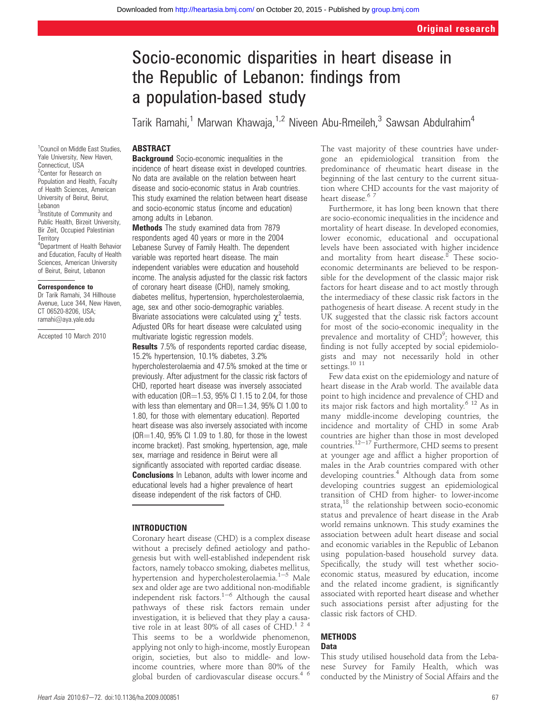# Socio-economic disparities in heart disease in the Republic of Lebanon: findings from a population-based study

Tarik Ramahi,<sup>1</sup> Marwan Khawaja,<sup>1,2</sup> Niveen Abu-Rmeileh,<sup>3</sup> Sawsan Abdulrahim<sup>4</sup>

# **ABSTRACT**

**Background** Socio-economic inequalities in the incidence of heart disease exist in developed countries. No data are available on the relation between heart disease and socio-economic status in Arab countries. This study examined the relation between heart disease and socio-economic status (income and education) among adults in Lebanon.

Methods The study examined data from 7879 respondents aged 40 years or more in the 2004 Lebanese Survey of Family Health. The dependent variable was reported heart disease. The main independent variables were education and household income. The analysis adjusted for the classic risk factors of coronary heart disease (CHD), namely smoking, diabetes mellitus, hypertension, hypercholesterolaemia, age, sex and other socio-demographic variables. Bivariate associations were calculated using  $\chi^2$  tests. Adjusted ORs for heart disease were calculated using multivariate logistic regression models.

**Results** 7.5% of respondents reported cardiac disease, 15.2% hypertension, 10.1% diabetes, 3.2% hypercholesterolaemia and 47.5% smoked at the time or previously. After adjustment for the classic risk factors of CHD, reported heart disease was inversely associated with education (OR $=$ 1.53, 95% CI 1.15 to 2.04, for those with less than elementary and  $OR=1.34$ , 95% CI 1.00 to 1.80, for those with elementary education). Reported heart disease was also inversely associated with income  $(OR=1.40, 95\%$  CI 1.09 to 1.80, for those in the lowest income bracket). Past smoking, hypertension, age, male sex, marriage and residence in Beirut were all significantly associated with reported cardiac disease. **Conclusions** In Lebanon, adults with lower income and educational levels had a higher prevalence of heart disease independent of the risk factors of CHD.

# INTRODUCTION

Coronary heart disease (CHD) is a complex disease without a precisely defined aetiology and pathogenesis but with well-established independent risk factors, namely tobacco smoking, diabetes mellitus, hypertension and hypercholesterolaemia.<sup>1-5</sup> Male sex and older age are two additional non-modifiable independent risk factors. $1-6$  Although the causal pathways of these risk factors remain under investigation, it is believed that they play a causative role in at least 80% of all cases of CHD.<sup>124</sup> This seems to be a worldwide phenomenon, applying not only to high-income, mostly European origin, societies, but also to middle- and lowincome countries, where more than 80% of the global burden of cardiovascular disease occurs.<sup>46</sup>

The vast majority of these countries have undergone an epidemiological transition from the predominance of rheumatic heart disease in the beginning of the last century to the current situation where CHD accounts for the vast majority of heart disease.<sup>6</sup>

Furthermore, it has long been known that there are socio-economic inequalities in the incidence and mortality of heart disease. In developed economies, lower economic, educational and occupational levels have been associated with higher incidence and mortality from heart disease.<sup>8</sup> These socioeconomic determinants are believed to be responsible for the development of the classic major risk factors for heart disease and to act mostly through the intermediacy of these classic risk factors in the pathogenesis of heart disease. A recent study in the UK suggested that the classic risk factors account for most of the socio-economic inequality in the prevalence and mortality of CHD<sup>9</sup>; however, this finding is not fully accepted by social epidemiologists and may not necessarily hold in other settings.<sup>10</sup> <sup>11</sup>

Few data exist on the epidemiology and nature of heart disease in the Arab world. The available data point to high incidence and prevalence of CHD and its major risk factors and high mortality.<sup>6 12</sup> As in many middle-income developing countries, the incidence and mortality of CHD in some Arab countries are higher than those in most developed countries.<sup>12-17</sup> Furthermore, CHD seems to present at younger age and afflict a higher proportion of males in the Arab countries compared with other developing countries.<sup>4</sup> Although data from some developing countries suggest an epidemiological transition of CHD from higher- to lower-income strata,<sup>18</sup> the relationship between socio-economic status and prevalence of heart disease in the Arab world remains unknown. This study examines the association between adult heart disease and social and economic variables in the Republic of Lebanon using population-based household survey data. Specifically, the study will test whether socioeconomic status, measured by education, income and the related income gradient, is significantly associated with reported heart disease and whether such associations persist after adjusting for the classic risk factors of CHD.

# **METHODS**

#### Data

This study utilised household data from the Lebanese Survey for Family Health, which was conducted by the Ministry of Social Affairs and the

<sup>1</sup> Council on Middle East Studies, Yale University, New Haven, Connecticut, USA <sup>2</sup> Center for Research on Population and Health, Faculty of Health Sciences, American University of Beirut, Beirut, Lebanon <sup>3</sup>Institute of Community and Public Health, Birzeit University,

Bir Zeit, Occupied Palestinian **Territory** 4 Department of Health Behavior

and Education, Faculty of Health Sciences, American University of Beirut, Beirut, Lebanon

#### Correspondence to

Dr Tarik Ramahi, 34 Hillhouse Avenue, Luce 344, New Haven, CT 06520-8206, USA; ramahi@aya.yale.edu

Accepted 10 March 2010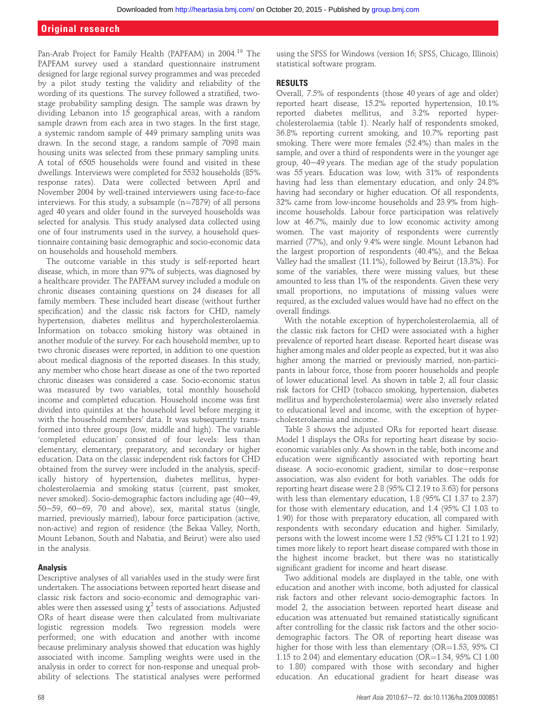# Original research

Pan-Arab Project for Family Health (PAPFAM) in 2004.<sup>19</sup> The PAPFAM survey used a standard questionnaire instrument designed for large regional survey programmes and was preceded by a pilot study testing the validity and reliability of the wording of its questions. The survey followed a stratified, twostage probability sampling design. The sample was drawn by dividing Lebanon into 15 geographical areas, with a random sample drawn from each area in two stages. In the first stage, a systemic random sample of 449 primary sampling units was drawn. In the second stage, a random sample of 7098 main housing units was selected from these primary sampling units. A total of 6505 households were found and visited in these dwellings. Interviews were completed for 5532 households (85% response rates). Data were collected between April and November 2004 by well-trained interviewers using face-to-face interviews. For this study, a subsample  $(n=7879)$  of all persons aged 40 years and older found in the surveyed households was selected for analysis. This study analysed data collected using one of four instruments used in the survey, a household questionnaire containing basic demographic and socio-economic data on households and household members.

The outcome variable in this study is self-reported heart disease, which, in more than 97% of subjects, was diagnosed by a healthcare provider. The PAPFAM survey included a module on chronic diseases containing questions on 24 diseases for all family members. These included heart disease (without further specification) and the classic risk factors for CHD, namely hypertension, diabetes mellitus and hypercholesterolaemia. Information on tobacco smoking history was obtained in another module of the survey. For each household member, up to two chronic diseases were reported, in addition to one question about medical diagnosis of the reported diseases. In this study, any member who chose heart disease as one of the two reported chronic diseases was considered a case. Socio-economic status was measured by two variables, total monthly household income and completed education. Household income was first divided into quintiles at the household level before merging it with the household members' data. It was subsequently transformed into three groups (low, middle and high). The variable 'completed education' consisted of four levels: less than elementary, elementary, preparatory, and secondary or higher education. Data on the classic independent risk factors for CHD obtained from the survey were included in the analysis, specifically history of hypertension, diabetes mellitus, hypercholesterolaemia and smoking status (current, past smoker, never smoked). Socio-demographic factors including age (40–49,  $50-59$ ,  $60-69$ ,  $70$  and above), sex, marital status (single, married, previously married), labour force participation (active, non-active) and region of residence (the Bekaa Valley, North, Mount Lebanon, South and Nabatia, and Beirut) were also used in the analysis.

#### Analysis

Descriptive analyses of all variables used in the study were first undertaken. The associations between reported heart disease and classic risk factors and socio-economic and demographic variables were then assessed using  $\chi^2$  tests of associations. Adjusted ORs of heart disease were then calculated from multivariate logistic regression models. Two regression models were performed; one with education and another with income because preliminary analysis showed that education was highly associated with income. Sampling weights were used in the analysis in order to correct for non-response and unequal probability of selections. The statistical analyses were performed using the SPSS for Windows (version 16; SPSS, Chicago, Illinois) statistical software program.

#### RESULTS

Overall, 7.5% of respondents (those 40 years of age and older) reported heart disease, 15.2% reported hypertension, 10.1% reported diabetes mellitus, and 3.2% reported hypercholesterolaemia (table 1). Nearly half of respondents smoked, 36.8% reporting current smoking, and 10.7% reporting past smoking. There were more females (52.4%) than males in the sample, and over a third of respondents were in the younger age group, 40-49 years. The median age of the study population was 55 years. Education was low, with 31% of respondents having had less than elementary education, and only 24.8% having had secondary or higher education. Of all respondents, 32% came from low-income households and 23.9% from highincome households. Labour force participation was relatively low at 46.7%, mainly due to low economic activity among women. The vast majority of respondents were currently married (77%), and only 9.4% were single. Mount Lebanon had the largest proportion of respondents (40.4%), and the Bekaa Valley had the smallest (11.1%), followed by Beirut (13.3%). For some of the variables, there were missing values, but these amounted to less than 1% of the respondents. Given these very small proportions, no imputations of missing values were required, as the excluded values would have had no effect on the overall findings.

With the notable exception of hypercholesterolaemia, all of the classic risk factors for CHD were associated with a higher prevalence of reported heart disease. Reported heart disease was higher among males and older people as expected, but it was also higher among the married or previously married, non-participants in labour force, those from poorer households and people of lower educational level. As shown in table 2, all four classic risk factors for CHD (tobacco smoking, hypertension, diabetes mellitus and hypercholesterolaemia) were also inversely related to educational level and income, with the exception of hypercholesterolaemia and income.

Table 3 shows the adjusted ORs for reported heart disease. Model 1 displays the ORs for reporting heart disease by socioeconomic variables only. As shown in the table, both income and education were significantly associated with reporting heart disease. A socio-economic gradient, similar to dose-response association, was also evident for both variables. The odds for reporting heart disease were 2.8 (95% CI 2.19 to 3.63) for persons with less than elementary education, 1.8 (95% CI 1.37 to 2.37) for those with elementary education, and 1.4 (95% CI 1.03 to 1.90) for those with preparatory education, all compared with respondents with secondary education and higher. Similarly, persons with the lowest income were 1.52 (95% CI 1.21 to 1.92) times more likely to report heart disease compared with those in the highest income bracket, but there was no statistically significant gradient for income and heart disease.

Two additional models are displayed in the table, one with education and another with income, both adjusted for classical risk factors and other relevant socio-demographic factors. In model 2, the association between reported heart disease and education was attenuated but remained statistically significant after controlling for the classic risk factors and the other sociodemographic factors. The OR of reporting heart disease was higher for those with less than elementary ( $OR=1.53$ ,  $95\%$  CI 1.15 to 2.04) and elementary education (OR=1.34, 95% CI 1.00 to 1.80) compared with those with secondary and higher education. An educational gradient for heart disease was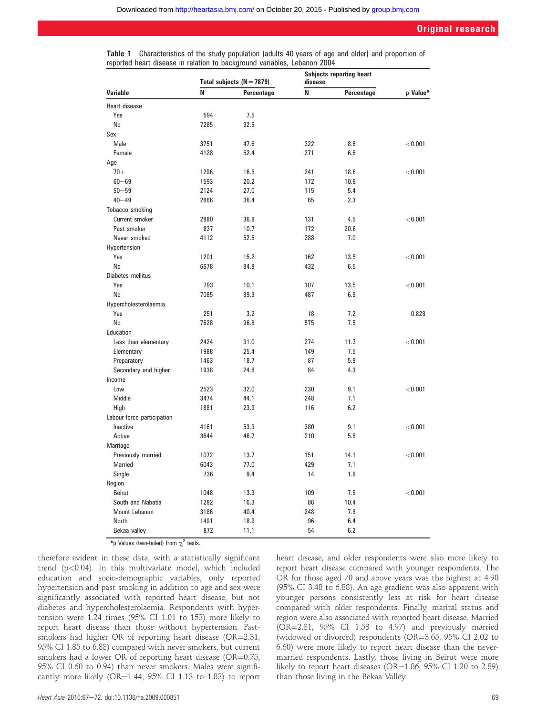| Table 1 Characteristics of the study population (adults 40 years of age and older) and proportion of |  |  |  |  |  |
|------------------------------------------------------------------------------------------------------|--|--|--|--|--|
| reported heart disease in relation to background variables, Lebanon 2004                             |  |  |  |  |  |

|                            | Total subjects $(N = 7879)$ |            | <b>Subjects reporting heart</b><br>disease |            |          |
|----------------------------|-----------------------------|------------|--------------------------------------------|------------|----------|
| <b>Variable</b>            | N                           | Percentage | N                                          | Percentage | p Value* |
| Heart disease              |                             |            |                                            |            |          |
| Yes                        | 594                         | 7.5        |                                            |            |          |
| No                         | 7285                        | 92.5       |                                            |            |          |
| Sex                        |                             |            |                                            |            |          |
| Male                       | 3751                        | 47.6       | 322                                        | 8.6        | < 0.001  |
| Female                     | 4128                        | 52.4       | 271                                        | 6.6        |          |
| Age                        |                             |            |                                            |            |          |
| $70 +$                     | 1296                        | 16.5       | 241                                        | 18.6       | < 0.001  |
| $60 - 69$                  | 1593                        | 20.2       | 172                                        | 10.8       |          |
| $50 - 59$                  | 2124                        | 27.0       | 115                                        | 5.4        |          |
| $40 - 49$                  | 2866                        | 36.4       | 65                                         | 2.3        |          |
| Tobacco smoking            |                             |            |                                            |            |          |
| Current smoker             | 2880                        | 36.8       | 131                                        | 4.5        | < 0.001  |
| Past smoker                | 837                         | 10.7       | 172                                        | 20.6       |          |
| Never smoked               | 4112                        | 52.5       | 288                                        | 7.0        |          |
| Hypertension               |                             |            |                                            |            |          |
| Yes                        | 1201                        | 15.2       | 162                                        | 13.5       | < 0.001  |
| No                         | 6678                        | 84.8       | 432                                        | 6.5        |          |
| Diabetes mellitus          |                             |            |                                            |            |          |
| Yes                        | 793                         | 10.1       | 107                                        | 13.5       | < 0.001  |
| No                         | 7085                        | 89.9       | 487                                        | 6.9        |          |
| Hypercholesterolaemia      |                             |            |                                            |            |          |
| Yes                        | 251                         | 3.2        | 18                                         | 7.2        | 0.828    |
| No                         | 7628                        | 96.8       | 575                                        | 7.5        |          |
| Education                  |                             |            |                                            |            |          |
| Less than elementary       | 2424                        | 31.0       | 274                                        | 11.3       | < 0.001  |
| Elementary                 | 1988                        | 25.4       | 149                                        | 7.5        |          |
| Preparatory                | 1463                        | 18.7       | 87                                         | 5.9        |          |
| Secondary and higher       | 1938                        | 24.8       | 84                                         | 4.3        |          |
| Income                     |                             |            |                                            |            |          |
| Low                        | 2523                        | 32.0       | 230                                        | 9.1        | < 0.001  |
| Middle                     | 3474                        | 44.1       | 248                                        | 7.1        |          |
| High                       | 1881                        | 23.9       | 116                                        | 6.2        |          |
| Labour-force participation |                             |            |                                            |            |          |
| Inactive                   | 4161                        | 53.3       | 380                                        | 9.1        | < 0.001  |
| Active                     | 3644                        | 46.7       | 210                                        | 5.8        |          |
| Marriage                   |                             |            |                                            |            |          |
| Previously married         | 1072                        | 13.7       | 151                                        | 14.1       | < 0.001  |
| Married                    | 6043                        | 77.0       | 429                                        | 7.1        |          |
| Single                     | 736                         | 9.4        | 14                                         | 1.9        |          |
| Region                     |                             |            |                                            |            |          |
| <b>Beirut</b>              | 1048                        | 13.3       | 109                                        | 7.5        | < 0.001  |
| South and Nabatia          | 1282                        | 16.3       | 86                                         | 10.4       |          |
| Mount Lebanon              | 3186                        | 40.4       | 248                                        | 7.8        |          |
| North                      | 1491                        | 18.9       | 96                                         | 6.4        |          |
| Bekaa valley               | 872                         | 11.1       | 54                                         | 6.2        |          |

\*p Values (two-tailed) from  $\chi^2$  tests.

therefore evident in these data, with a statistically significant trend (p<0.04). In this multivariate model, which included education and socio-demographic variables, only reported hypertension and past smoking in addition to age and sex were significantly associated with reported heart disease, but not diabetes and hypercholesterolaemia. Respondents with hypertension were 1.24 times (95% CI 1.01 to 153) more likely to report heart disease than those without hypertension. Pastsmokers had higher OR of reporting heart disease ( $OR = 2.31$ , 95% CI 1.85 to 6.88) compared with never smokers, but current smokers had a lower OR of reporting heart disease (OR= $0.75$ , 95% CI 0.60 to 0.94) than never smokers. Males were significantly more likely (OR=1.44, 95% CI 1.13 to 1.83) to report

heart disease, and older respondents were also more likely to report heart disease compared with younger respondents. The OR for those aged 70 and above years was the highest at 4.90 (95% CI 3.48 to 6.88). An age gradient was also apparent with younger persons consistently less at risk for heart disease compared with older respondents. Finally, marital status and region were also associated with reported heart disease. Married  $(OR = 2.81, 95\% \text{ CI } 1.58 \text{ to } 4.97)$  and previously married (widowed or divorced) respondents (OR= $3.65$ ,  $95\%$  CI 2.02 to 6.60) were more likely to report heart disease than the nevermarried respondents. Lastly, those living in Beirut were more likely to report heart diseases ( $OR=1.86$ ,  $95\%$  CI 1.20 to 2.89) than those living in the Bekaa Valley.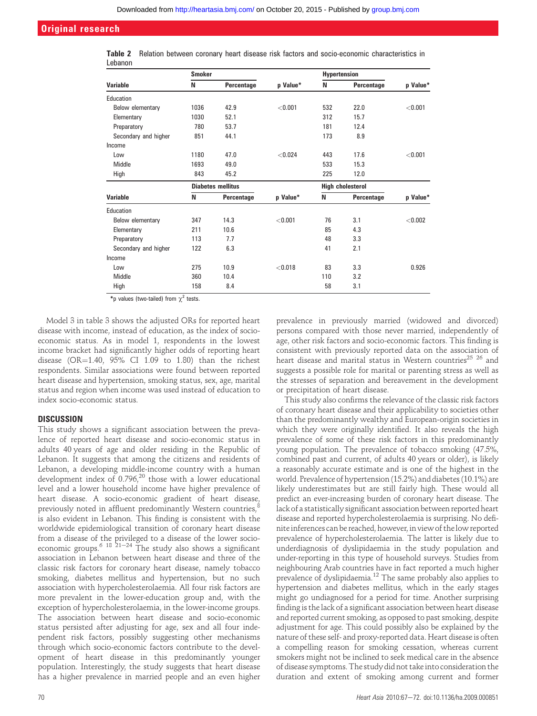#### Original research

| <b>Smoker</b> |                   |                          |     |            |                                                |
|---------------|-------------------|--------------------------|-----|------------|------------------------------------------------|
| N             | <b>Percentage</b> | p Value*                 | N   | Percentage | p Value*                                       |
|               |                   |                          |     |            |                                                |
| 1036          | 42.9              | < 0.001                  | 532 | 22.0       | < 0.001                                        |
| 1030          | 52.1              |                          | 312 | 15.7       |                                                |
| 780           | 53.7              |                          | 181 | 12.4       |                                                |
| 851           | 44.1              |                          | 173 | 8.9        |                                                |
|               |                   |                          |     |            |                                                |
| 1180          | 47.0              | < 0.024                  | 443 | 17.6       | < 0.001                                        |
| 1693          | 49.0              |                          | 533 | 15.3       |                                                |
| 843           | 45.2              |                          | 225 | 12.0       |                                                |
|               |                   |                          |     |            |                                                |
| N             | Percentage        | p Value*                 | N   | Percentage | p Value*                                       |
|               |                   |                          |     |            |                                                |
| 347           | 14.3              | < 0.001                  | 76  | 3.1        | < 0.002                                        |
| 211           | 10.6              |                          | 85  | 4.3        |                                                |
| 113           | 7.7               |                          | 48  | 3.3        |                                                |
| 122           | 6.3               |                          | 41  | 2.1        |                                                |
|               |                   |                          |     |            |                                                |
| 275           | 10.9              | < 0.018                  | 83  | 3.3        | 0.926                                          |
| 360           | 10.4              |                          | 110 | 3.2        |                                                |
| 158           | 8.4               |                          | 58  | 3.1        |                                                |
|               |                   | <b>Diabetes mellitus</b> |     |            | <b>Hypertension</b><br><b>High cholesterol</b> |

Table 2 Relation between coronary heart disease risk factors and socio-economic characteristics in Lebanon

\*p values (two-tailed) from  $\chi^2$  tests.

Model 3 in table 3 shows the adjusted ORs for reported heart disease with income, instead of education, as the index of socioeconomic status. As in model 1, respondents in the lowest income bracket had significantly higher odds of reporting heart disease (OR=1.40,  $95\%$  CI 1.09 to 1.80) than the richest respondents. Similar associations were found between reported heart disease and hypertension, smoking status, sex, age, marital status and region when income was used instead of education to index socio-economic status.

#### **DISCUSSION**

This study shows a significant association between the prevalence of reported heart disease and socio-economic status in adults 40 years of age and older residing in the Republic of Lebanon. It suggests that among the citizens and residents of Lebanon, a developing middle-income country with a human development index of  $0.796<sup>20</sup>$  those with a lower educational level and a lower household income have higher prevalence of heart disease. A socio-economic gradient of heart disease, previously noted in affluent predominantly Western countries,<sup>8</sup> is also evident in Lebanon. This finding is consistent with the worldwide epidemiological transition of coronary heart disease from a disease of the privileged to a disease of the lower socioeconomic groups.<sup>6 18</sup> <sup>21-24</sup> The study also shows a significant association in Lebanon between heart disease and three of the classic risk factors for coronary heart disease, namely tobacco smoking, diabetes mellitus and hypertension, but no such association with hypercholesterolaemia. All four risk factors are more prevalent in the lower-education group and, with the exception of hypercholesterolaemia, in the lower-income groups. The association between heart disease and socio-economic status persisted after adjusting for age, sex and all four independent risk factors, possibly suggesting other mechanisms through which socio-economic factors contribute to the development of heart disease in this predominantly younger population. Interestingly, the study suggests that heart disease has a higher prevalence in married people and an even higher

prevalence in previously married (widowed and divorced) persons compared with those never married, independently of age, other risk factors and socio-economic factors. This finding is consistent with previously reported data on the association of heart disease and marital status in Western countries<sup>25</sup> <sup>26</sup> and suggests a possible role for marital or parenting stress as well as the stresses of separation and bereavement in the development or precipitation of heart disease.

This study also confirms the relevance of the classic risk factors of coronary heart disease and their applicability to societies other than the predominantly wealthy and European-origin societies in which they were originally identified. It also reveals the high prevalence of some of these risk factors in this predominantly young population. The prevalence of tobacco smoking (47.5%, combined past and current, of adults 40 years or older), is likely a reasonably accurate estimate and is one of the highest in the world. Prevalence of hypertension (15.2%) and diabetes (10.1%) are likely underestimates but are still fairly high. These would all predict an ever-increasing burden of coronary heart disease. The lack of a statistically significant association between reported heart disease and reported hypercholesterolaemia is surprising. No definite inferences can be reached, however, in view of the low reported prevalence of hypercholesterolaemia. The latter is likely due to underdiagnosis of dyslipidaemia in the study population and under-reporting in this type of household surveys. Studies from neighbouring Arab countries have in fact reported a much higher prevalence of dyslipidaemia.<sup>12</sup> The same probably also applies to hypertension and diabetes mellitus, which in the early stages might go undiagnosed for a period for time. Another surprising finding is the lack of a significant association between heart disease and reported current smoking, as opposed to past smoking, despite adjustment for age. This could possibly also be explained by the nature of these self- and proxy-reported data. Heart disease is often a compelling reason for smoking cessation, whereas current smokers might not be inclined to seek medical care in the absence of disease symptoms. The study did not take into consideration the duration and extent of smoking among current and former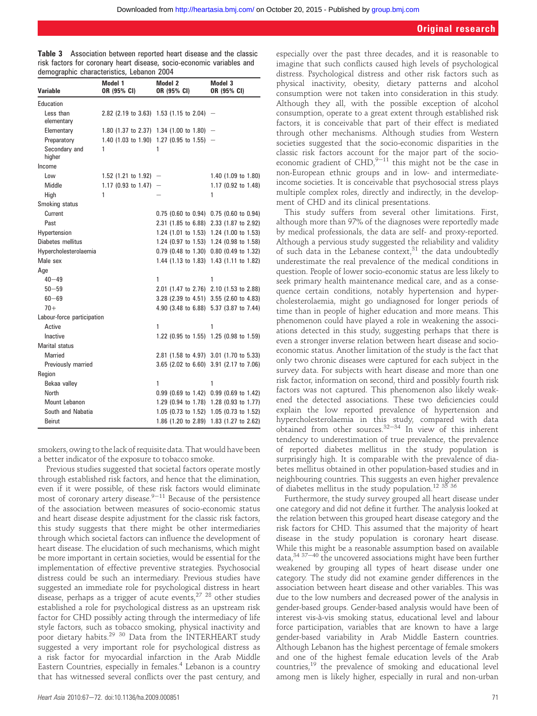| <b>Table 3</b> Association between reported heart disease and the classic |  |
|---------------------------------------------------------------------------|--|
| risk factors for coronary heart disease, socio-economic variables and     |  |
| demographic characteristics, Lebanon 2004                                 |  |

| <b>Variable</b>            | Model 1<br>OR (95% CI)  | Model 2<br>OR (95% CI)                      | Model 3<br>OR (95% CI)                  |
|----------------------------|-------------------------|---------------------------------------------|-----------------------------------------|
| Education                  |                         |                                             |                                         |
| Less than<br>elementary    |                         | 2.82 (2.19 to 3.63) 1.53 (1.15 to 2.04) $-$ |                                         |
| Elementary                 |                         | 1.80 (1.37 to 2.37) 1.34 (1.00 to 1.80) $-$ |                                         |
| Preparatory                |                         | 1.40 (1.03 to 1.90) 1.27 (0.95 to 1.55) $-$ |                                         |
| Secondary and<br>higher    | 1                       | 1                                           |                                         |
| Income                     |                         |                                             |                                         |
| Low                        | 1.52 (1.21 to 1.92) $-$ |                                             | 1.40 (1.09 to 1.80)                     |
| Middle                     | 1.17 (0.93 to 1.47) $-$ |                                             | 1.17 (0.92 to 1.48)                     |
| High                       | 1                       |                                             | 1                                       |
| Smoking status             |                         |                                             |                                         |
| Current                    |                         |                                             | 0.75 (0.60 to 0.94) 0.75 (0.60 to 0.94) |
| Past                       |                         |                                             | 2.31 (1.85 to 6.88) 2.33 (1.87 to 2.92) |
| Hypertension               |                         |                                             | 1.24 (1.01 to 1.53) 1.24 (1.00 to 1.53) |
| Diabetes mellitus          |                         |                                             | 1.24 (0.97 to 1.53) 1.24 (0.98 to 1.58) |
| Hypercholesterolaemia      |                         |                                             | 0.79 (0.48 to 1.30) 0.80 (0.49 to 1.32) |
| Male sex                   |                         |                                             | 1.44 (1.13 to 1.83) 1.43 (1.11 to 1.82) |
| Age                        |                         |                                             |                                         |
| $40 - 49$                  |                         | 1                                           | 1                                       |
| $50 - 59$                  |                         |                                             | 2.01 (1.47 to 2.76) 2.10 (1.53 to 2.88) |
| $60 - 69$                  |                         |                                             | 3.28 (2.39 to 4.51) 3.55 (2.60 to 4.83) |
| $70+$                      |                         |                                             | 4.90 (3.48 to 6.88) 5.37 (3.87 to 7.44) |
| Labour-force participation |                         |                                             |                                         |
| Active                     |                         | 1                                           | 1                                       |
| Inactive                   |                         |                                             | 1.22 (0.95 to 1.55) 1.25 (0.98 to 1.59) |
| Marital status             |                         |                                             |                                         |
| Married                    |                         |                                             | 2.81 (1.58 to 4.97) 3.01 (1.70 to 5.33) |
| Previously married         |                         |                                             | 3.65 (2.02 to 6.60) 3.91 (2.17 to 7.06) |
| Region                     |                         |                                             |                                         |
| Bekaa valley               |                         | 1                                           | 1                                       |
| North                      |                         |                                             | 0.99 (0.69 to 1.42) 0.99 (0.69 to 1.42) |
| Mount Lebanon              |                         |                                             | 1.29 (0.94 to 1.78) 1.28 (0.93 to 1.77) |
| South and Nabatia          |                         |                                             | 1.05 (0.73 to 1.52) 1.05 (0.73 to 1.52) |
| Beirut                     |                         |                                             | 1.86 (1.20 to 2.89) 1.83 (1.27 to 2.62) |

smokers, owing to the lack of requisite data. That would have been a better indicator of the exposure to tobacco smoke.

Previous studies suggested that societal factors operate mostly through established risk factors, and hence that the elimination, even if it were possible, of these risk factors would eliminate most of coronary artery disease.<sup>9-11</sup> Because of the persistence of the association between measures of socio-economic status and heart disease despite adjustment for the classic risk factors, this study suggests that there might be other intermediaries through which societal factors can influence the development of heart disease. The elucidation of such mechanisms, which might be more important in certain societies, would be essential for the implementation of effective preventive strategies. Psychosocial distress could be such an intermediary. Previous studies have suggested an immediate role for psychological distress in heart disease, perhaps as a trigger of acute events,  $2728$  other studies established a role for psychological distress as an upstream risk factor for CHD possibly acting through the intermediacy of life style factors, such as tobacco smoking, physical inactivity and poor dietary habits.<sup>29 30</sup> Data from the INTERHEART study suggested a very important role for psychological distress as a risk factor for myocardial infarction in the Arab Middle Eastern Countries, especially in females.<sup>4</sup> Lebanon is a country that has witnessed several conflicts over the past century, and

especially over the past three decades, and it is reasonable to imagine that such conflicts caused high levels of psychological distress. Psychological distress and other risk factors such as physical inactivity, obesity, dietary patterns and alcohol consumption were not taken into consideration in this study. Although they all, with the possible exception of alcohol consumption, operate to a great extent through established risk factors, it is conceivable that part of their effect is mediated through other mechanisms. Although studies from Western societies suggested that the socio-economic disparities in the classic risk factors account for the major part of the socioeconomic gradient of  $CHD<sub>1</sub><sup>9–11</sup>$  this might not be the case in non-European ethnic groups and in low- and intermediateincome societies. It is conceivable that psychosocial stress plays multiple complex roles, directly and indirectly, in the development of CHD and its clinical presentations.

This study suffers from several other limitations. First, although more than 97% of the diagnoses were reportedly made by medical professionals, the data are self- and proxy-reported. Although a pervious study suggested the reliability and validity of such data in the Lebanese context, $31$  the data undoubtedly underestimate the real prevalence of the medical conditions in question. People of lower socio-economic status are less likely to seek primary health maintenance medical care, and as a consequence certain conditions, notably hypertension and hypercholesterolaemia, might go undiagnosed for longer periods of time than in people of higher education and more means. This phenomenon could have played a role in weakening the associations detected in this study, suggesting perhaps that there is even a stronger inverse relation between heart disease and socioeconomic status. Another limitation of the study is the fact that only two chronic diseases were captured for each subject in the survey data. For subjects with heart disease and more than one risk factor, information on second, third and possibly fourth risk factors was not captured. This phenomenon also likely weakened the detected associations. These two deficiencies could explain the low reported prevalence of hypertension and hypercholesterolaemia in this study, compared with data obtained from other sources. $32-34$  In view of this inherent tendency to underestimation of true prevalence, the prevalence of reported diabetes mellitus in the study population is surprisingly high. It is comparable with the prevalence of diabetes mellitus obtained in other population-based studies and in neighbouring countries. This suggests an even higher prevalence of diabetes mellitus in the study population.12 35 36

Furthermore, the study survey grouped all heart disease under one category and did not define it further. The analysis looked at the relation between this grouped heart disease category and the risk factors for CHD. This assumed that the majority of heart disease in the study population is coronary heart disease. While this might be a reasonable assumption based on available data, $34\frac{37-40}{10}$  the uncovered associations might have been further weakened by grouping all types of heart disease under one category. The study did not examine gender differences in the association between heart disease and other variables. This was due to the low numbers and decreased power of the analysis in gender-based groups. Gender-based analysis would have been of interest vis-à-vis smoking status, educational level and labour force participation, variables that are known to have a large gender-based variability in Arab Middle Eastern countries. Although Lebanon has the highest percentage of female smokers and one of the highest female education levels of the Arab countries, $19$  the prevalence of smoking and educational level among men is likely higher, especially in rural and non-urban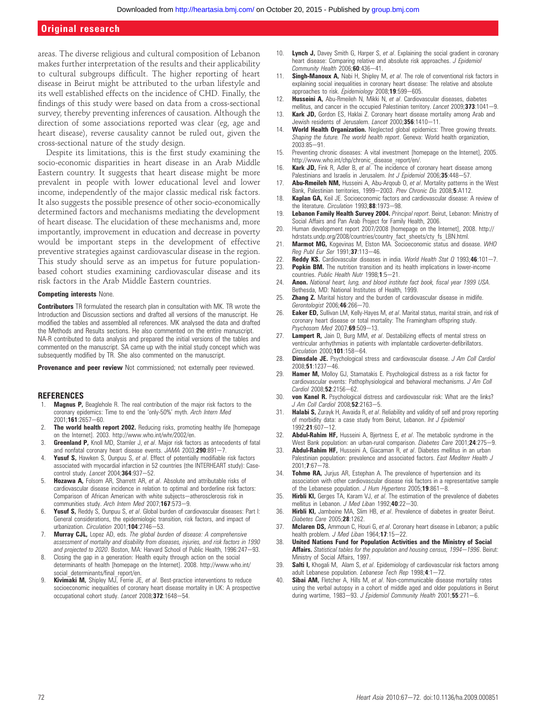## **Original research**

areas. The diverse religious and cultural composition of Lebanon makes further interpretation of the results and their applicability to cultural subgroups difficult. The higher reporting of heart disease in Beirut might be attributed to the urban lifestyle and its well established effects on the incidence of CHD. Finally, the findings of this study were based on data from a cross-sectional survey, thereby preventing inferences of causation. Although the direction of some associations reported was clear (eg, age and heart disease), reverse causality cannot be ruled out, given the cross-sectional nature of the study design.

Despite its limitations, this is the first study examining the socio-economic disparities in heart disease in an Arab Middle Eastern country. It suggests that heart disease might be more prevalent in people with lower educational level and lower income, independently of the major classic medical risk factors. It also suggests the possible presence of other socio-economically determined factors and mechanisms mediating the development of heart disease. The elucidation of these mechanisms and, more importantly, improvement in education and decrease in poverty would be important steps in the development of effective preventive strategies against cardiovascular disease in the region. This study should serve as an impetus for future populationbased cohort studies examining cardiovascular disease and its risk factors in the Arab Middle Eastern countries.

#### Competing interests None.

Contributors TR formulated the research plan in consultation with MK. TR wrote the Introduction and Discussion sections and drafted all versions of the manuscript. He modified the tables and assembled all references. MK analysed the data and drafted the Methods and Results sections. He also commented on the entire manuscript. NA-R contributed to data analysis and prepared the initial versions of the tables and commented on the manuscript. SA came up with the initial study concept which was subsequently modified by TR. She also commented on the manuscript.

**Provenance and peer review** Not commissioned; not externally peer reviewed.

#### **REFERENCES**

- Magnus P, Beaglehole R. The real contribution of the major risk factors to the coronary epidemics: Time to end the 'only-50%' myth. Arch Intern Med 2001:161:2657-60
- 2. The world health report 2002. Reducing risks, promoting healthy life [homepage on the Internet]. 2003. http://www.who.int/whr/2002/en.
- 3. Greenland P, Knoll MD, Stamler J, et al. Major risk factors as antecedents of fatal and nonfatal coronary heart disease events.  $JAMA$  2003;290:891-7.
- 4. Yusuf S, Hawken S, Ounpuu S, et al. Effect of potentially modifiable risk factors associated with myocardial infarction in 52 countries (the INTERHEART study): Casecontrol study. Lancet 2004;364:937-52.
- 5. Hozawa A, Folsom AR, Sharrett AR, et al. Absolute and attributable risks of cardiovascular disease incidence in relation to optimal and borderline risk factors: Comparison of African American with white subjects-atherosclerosis risk in communities study. Arch Intern Med 2007;167:573-9.
- 6. Yusuf S, Reddy S, Ounpuu S, et al. Global burden of cardiovascular diseases: Part I: General considerations, the epidemiologic transition, risk factors, and impact of urbanization. Circulation 2001;104:2746-53.
- 7. **Murray CJL,** Lopez AD, eds. The global burden of disease: A comprehensive assessment of mortality and disability from diseases, injuries, and risk factors in 1990 and projected to 2020. Boston, MA: Harvard School of Public Health, 1996:247-93.
- 8. Closing the gap in a generation: Health equity through action on the social determinants of health [homepage on the Internet]. 2008. http://www.who.int/ social\_determinants/final\_report/en.
- 9. **Kivimaki M,** Shipley MJ, Ferrie JE, et al. Best-practice interventions to reduce socioeconomic inequalities of coronary heart disease mortality in UK: A prospective occupational cohort study. Lancet 2008;372:1648-54.
- 10. **Lynch J.** Davey Smith G. Harper S, et al. Explaining the social gradient in coronary heart disease: Comparing relative and absolute risk approaches. J Epidemiol Community Health  $2006;60:436-41$ .
- 11. Singh-Manoux A, Nabi H, Shipley M, et al. The role of conventional risk factors in explaining social inequalities in coronary heart disease: The relative and absolute approaches to risk. Epidemiology 2008;19:599-605.
- 12. Husseini A, Abu-Rmeileh N, Mikki N, et al. Cardiovascular diseases, diabetes
- mellitus, and cancer in the occupied Palestinian territory. Lancet  $2009;373:1041-9$ . 13. Kark JD, Gordon ES, Haklai Z. Coronary heart disease mortality among Arab and Jewish residents of Jerusalem. Lancet 2000;356:1410-11.
- 14. World Health Organization. Neglected global epidemics: Three growing threats. Shaping the future. The world health report. Geneva: World health organization,  $2003:85 - 91$
- 15. Preventing chronic diseases: A vital investment [homepage on the Internet], 2005. http://www.who.int/chp/chronic\_disease\_report/en/.
- 16. **Kark JD,** Fink R, Adler B, et al. The incidence of coronary heart disease among Palestinians and Israelis in Jerusalem. Int J Epidemiol 2006;35:448-57.
- 17. Abu-Rmeileh NM, Husseini A, Abu-Arqoub O, et al. Mortality patterns in the West Bank, Palestinian territories, 1999-2003. Prev Chronic Dis 2008;5:A112.
- 18. **Kaplan GA,** Keil JE. Socioeconomic factors and cardiovascular disease: A review of the literature. Circulation 1993:88:1973-98.
- 19. Lebanon Family Health Survey 2004. Principal report. Beirut, Lebanon: Ministry of Social Affairs and Pan Arab Project for Family Health, 2006.
- 20. Human development report 2007/2008 [homepage on the Internet], 2008. http:// hdrstats.undp.org/2008/countries/country\_fact\_sheets/cty\_fs\_LBN.html.
- 21. **Marmot MG, Kogevinas M, Elston MA. Socioeconomic status and disease. WHO** Reg Publ Eur Ser 1991:37:113-46.
- 22. Reddy KS. Cardiovascular diseases in india. World Health Stat  $Q$  1993;46:101-7.
- 23. Popkin BM. The nutrition transition and its health implications in lower-income countries. Public Health Nutr 1998;1:5-21.
- 24. **Anon.** National heart, lung, and blood institute fact book, fiscal year 1999 USA. Bethesda, MD: National Institutes of Health, 1999.
- 25. **Zhang Z.** Marital history and the burden of cardiovascular disease in midlife. Gerontologist 2006;46:266-70.
- 26. **Eaker ED,** Sullivan LM, Kelly-Hayes M, et al. Marital status, marital strain, and risk of coronary heart disease or total mortality: The Framingham offspring study.  $Psychosom Med 2007;69:509-13.$
- 27. Lampert R, Jain D, Burg MM, et al. Destabilizing effects of mental stress on ventricular arrhythmias in patients with implantable cardioverter-defibrillators.  $Circulation$   $2000;101:158-64.$
- 28. **Dimsdale JE.** Psychological stress and cardiovascular disease. J Am Coll Cardiol 2008:51:1237-46.
- 29. Hamer M, Molloy GJ, Stamatakis E. Psychological distress as a risk factor for cardiovascular events: Pathophysiological and behavioral mechanisms. J Am Coll Cardiol 2008;52:2156-62.
- 30. von Kanel R. Psychological distress and cardiovascular risk: What are the links? J Am Coll Cardiol 2008;52:2163-5.
- 31. Halabi S, Zurayk H, Awaida R, et al. Reliability and validity of self and proxy reporting of morbidity data: a case study from Beirut, Lebanon. Int J Epidemiol 1992;21:607-12.
- 32. **Abdul-Rahim HF,** Husseini A, Bjertness E, et al. The metabolic syndrome in the West Bank population: an urban-rural comparison. Diabetes Care 2001;24:275-9.
- 33. **Abdul-Rahim HF,** Husseini A, Giacaman R, et al. Diabetes mellitus in an urban Palestinian population: prevalence and associated factors. East Mediterr Health J  $2001;7:67-78.$
- 34. Tohme RA, Jurjus AR, Estephan A. The prevalence of hypertension and its association with other cardiovascular disease risk factors in a representative sample of the Lebanese population.  $J$  Hum Hypertens 2005;19:861-8.
- 35. **Hirbli KI,** Gerges TA, Karam VJ, et al. The estimation of the prevalence of diabetes mellitus in Lebanon. J Med Liban 1992;40:22-30.
- 36. Hirbli KI, Jambeine MA, Slim HB, et al. Prevalence of diabetes in greater Beirut. Diabetes Care 2005;28:1262.
- 37. Mclaren DS, Ammoun C, Houri G, et al. Coronary heart disease in Lebanon; a public health problem. J Med Liban 1964;17:15-22.
- 38. United Nations Fund for Population Activities and the Ministry of Social **Affairs.** Statistical tables for the population and housing census,  $1994 - 1996$ . Beirut: Ministry of Social Affairs, 1997.
- 39. Salti I, Khogali M, Alam S, et al. Epidemiology of cardiovascular risk factors among adult Lebanese population. Lebanese Tech Rep 1998;4:1-72.
- 40. **Sibai AM,** Fletcher A, Hills M, et al. Non-communicable disease mortality rates using the verbal autopsy in a cohort of middle aged and older populations in Beirut during wartime, 1983-93. J Epidemiol Community Health 2001;55:271-6.